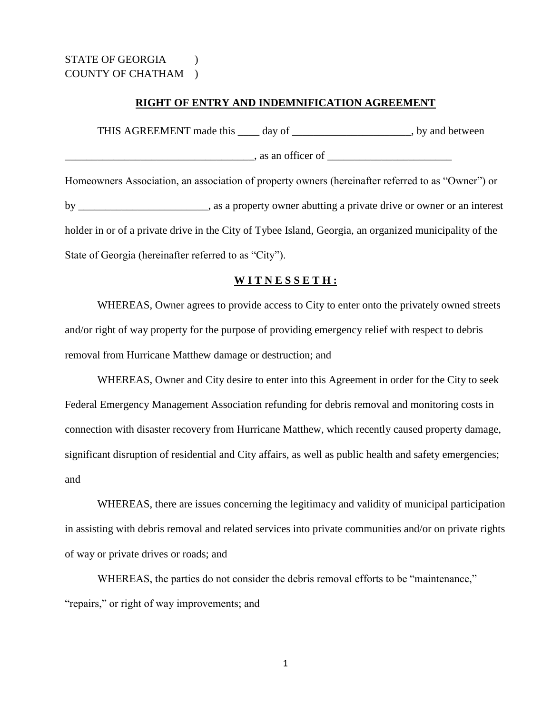## **RIGHT OF ENTRY AND INDEMNIFICATION AGREEMENT**

THIS AGREEMENT made this \_\_\_\_\_ day of \_\_\_\_\_\_\_\_\_\_\_\_\_\_\_\_\_\_\_\_\_, by and between  $\Box$ , as an officer of  $\Box$ Homeowners Association, an association of property owners (hereinafter referred to as "Owner") or by \_\_\_\_\_\_\_\_\_\_\_\_\_\_\_\_\_\_\_\_\_\_\_\_\_, as a property owner abutting a private drive or owner or an interest holder in or of a private drive in the City of Tybee Island, Georgia, an organized municipality of the State of Georgia (hereinafter referred to as "City").

## **W I T N E S S E T H :**

WHEREAS, Owner agrees to provide access to City to enter onto the privately owned streets and/or right of way property for the purpose of providing emergency relief with respect to debris removal from Hurricane Matthew damage or destruction; and

WHEREAS, Owner and City desire to enter into this Agreement in order for the City to seek Federal Emergency Management Association refunding for debris removal and monitoring costs in connection with disaster recovery from Hurricane Matthew, which recently caused property damage, significant disruption of residential and City affairs, as well as public health and safety emergencies; and

WHEREAS, there are issues concerning the legitimacy and validity of municipal participation in assisting with debris removal and related services into private communities and/or on private rights of way or private drives or roads; and

WHEREAS, the parties do not consider the debris removal efforts to be "maintenance," "repairs," or right of way improvements; and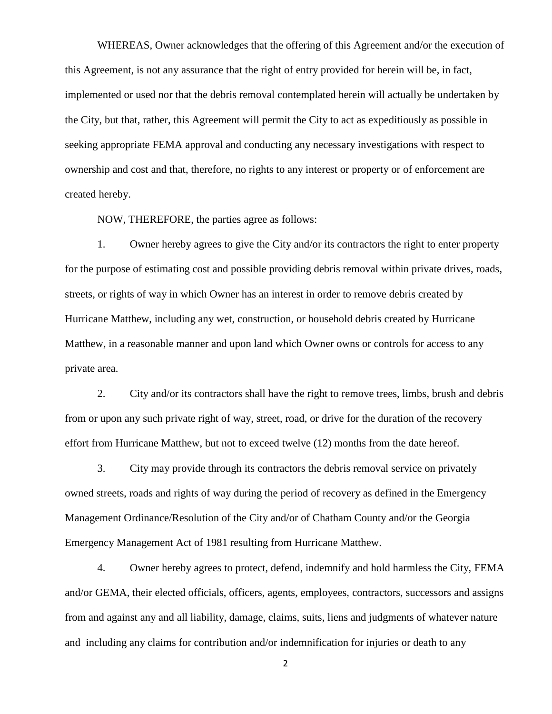WHEREAS, Owner acknowledges that the offering of this Agreement and/or the execution of this Agreement, is not any assurance that the right of entry provided for herein will be, in fact, implemented or used nor that the debris removal contemplated herein will actually be undertaken by the City, but that, rather, this Agreement will permit the City to act as expeditiously as possible in seeking appropriate FEMA approval and conducting any necessary investigations with respect to ownership and cost and that, therefore, no rights to any interest or property or of enforcement are created hereby.

NOW, THEREFORE, the parties agree as follows:

1. Owner hereby agrees to give the City and/or its contractors the right to enter property for the purpose of estimating cost and possible providing debris removal within private drives, roads, streets, or rights of way in which Owner has an interest in order to remove debris created by Hurricane Matthew, including any wet, construction, or household debris created by Hurricane Matthew, in a reasonable manner and upon land which Owner owns or controls for access to any private area.

2. City and/or its contractors shall have the right to remove trees, limbs, brush and debris from or upon any such private right of way, street, road, or drive for the duration of the recovery effort from Hurricane Matthew, but not to exceed twelve (12) months from the date hereof.

3. City may provide through its contractors the debris removal service on privately owned streets, roads and rights of way during the period of recovery as defined in the Emergency Management Ordinance/Resolution of the City and/or of Chatham County and/or the Georgia Emergency Management Act of 1981 resulting from Hurricane Matthew.

4. Owner hereby agrees to protect, defend, indemnify and hold harmless the City, FEMA and/or GEMA, their elected officials, officers, agents, employees, contractors, successors and assigns from and against any and all liability, damage, claims, suits, liens and judgments of whatever nature and including any claims for contribution and/or indemnification for injuries or death to any

2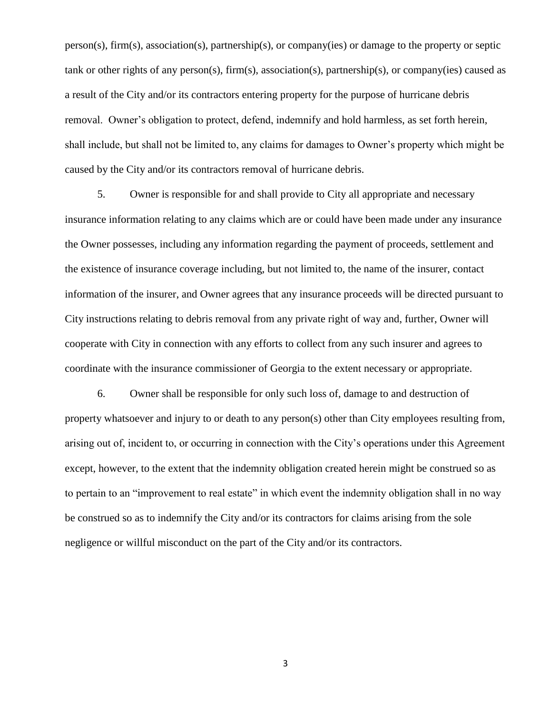person(s), firm(s), association(s), partnership(s), or company(ies) or damage to the property or septic tank or other rights of any person(s), firm(s), association(s), partnership(s), or company(ies) caused as a result of the City and/or its contractors entering property for the purpose of hurricane debris removal. Owner's obligation to protect, defend, indemnify and hold harmless, as set forth herein, shall include, but shall not be limited to, any claims for damages to Owner's property which might be caused by the City and/or its contractors removal of hurricane debris.

5. Owner is responsible for and shall provide to City all appropriate and necessary insurance information relating to any claims which are or could have been made under any insurance the Owner possesses, including any information regarding the payment of proceeds, settlement and the existence of insurance coverage including, but not limited to, the name of the insurer, contact information of the insurer, and Owner agrees that any insurance proceeds will be directed pursuant to City instructions relating to debris removal from any private right of way and, further, Owner will cooperate with City in connection with any efforts to collect from any such insurer and agrees to coordinate with the insurance commissioner of Georgia to the extent necessary or appropriate.

6. Owner shall be responsible for only such loss of, damage to and destruction of property whatsoever and injury to or death to any person(s) other than City employees resulting from, arising out of, incident to, or occurring in connection with the City's operations under this Agreement except, however, to the extent that the indemnity obligation created herein might be construed so as to pertain to an "improvement to real estate" in which event the indemnity obligation shall in no way be construed so as to indemnify the City and/or its contractors for claims arising from the sole negligence or willful misconduct on the part of the City and/or its contractors.

3